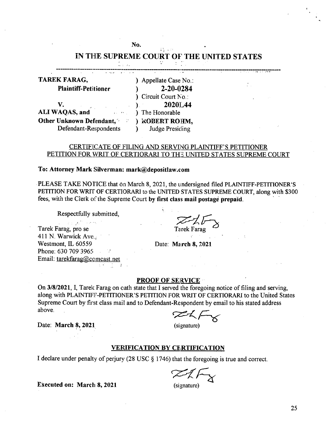## No. 28 (1947) IN THE SUPREME COURT OF THE UNITED STATES Line.

**TAREK FARAG, Plaintiff-Petiitioner** ) Appellate Case No.: 2-20-0284 ) Circuit Court No.: **2020L44** (a) The Honorable **)** V. **) ALIWAQAS, and Other Unknown Defendant, (a) ) ROBERT ROHM,**<br>Defendant-Respondents by Judge Presiding Defendant-Respondents **)** 

# CERTIFICATE OF FILING AND SERVING PLAINTIFF'S PETITIONER PETITION FOR WRIT OF CERTIORARI TO THE UNITED STATES SUPREME COURT

## **To: Attorney Mark Silverman: [mark@depositIaw.com](mailto:mark@depositIaw.com)**

PLEASE TAKE NOTICE that on March 8, 2021, the undersigned filed PLAINTIFF-PETITIONER'S PETITION FOR WRIT OF CERTIORARI to the UNITED STATES SUPREME COURT, along with \$300 fees, with the Clerk of the Supreme Court by first class mail postage prepaid.

Respectfully submitted,

a martin de la companya Tarek Farag, pro se 411 N. Warwick Ave., Westmont, IL 60559 Phone: 630 709 3965 Email: [tarekfarag@comcast.net](mailto:tarekfarag@comcast.net)

Tarek Farag

Date: **March 8, 2021**

## **PROOF OF SERVICE**

On 3/8/2021, I, Tarek Farag on cath state that I served the foregoing notice of filing and serving, along with PLAINTIFF-PETITIONER'S PETITION FOR WRIT OF CERTIORARI to the United States Supreme Court by first class mail and to Defendant-Respondent by email to his stated address above.

Date: **March 8, 2021** (signature)

## **VERIFICATION BY CERTIFICATION**

I declare under penalty of perjury (28 USC  $\S$  1746) that the foregoing is true and correct.

**Executed on: March 8,2021** (signature)